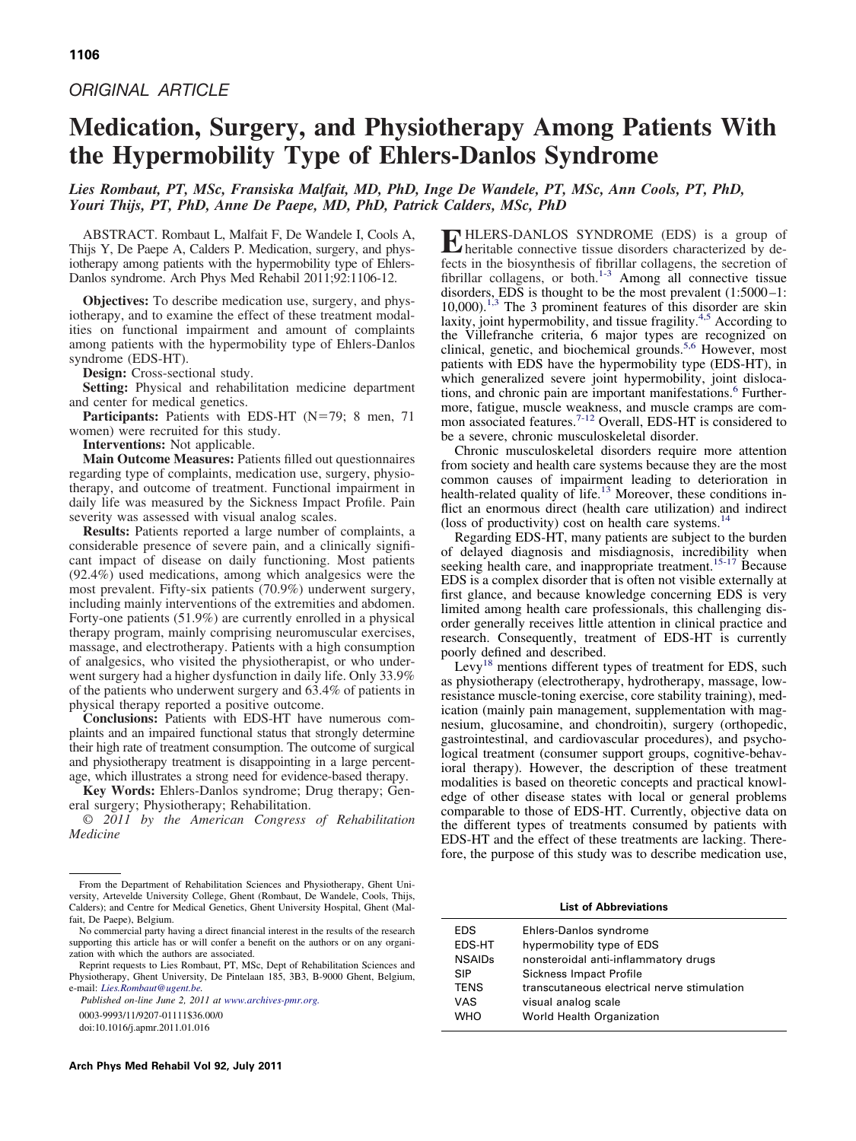# *ORIGINAL ARTICLE*

# **Medication, Surgery, and Physiotherapy Among Patients With the Hypermobility Type of Ehlers-Danlos Syndrome**

*Lies Rombaut, PT, MSc, Fransiska Malfait, MD, PhD, Inge De Wandele, PT, MSc, Ann Cools, PT, PhD, Youri Thijs, PT, PhD, Anne De Paepe, MD, PhD, Patrick Calders, MSc, PhD*

ABSTRACT. Rombaut L, Malfait F, De Wandele I, Cools A, Thijs Y, De Paepe A, Calders P. Medication, surgery, and physiotherapy among patients with the hypermobility type of Ehlers-Danlos syndrome. Arch Phys Med Rehabil 2011;92:1106-12.

**Objectives:** To describe medication use, surgery, and physiotherapy, and to examine the effect of these treatment modalities on functional impairment and amount of complaints among patients with the hypermobility type of Ehlers-Danlos syndrome (EDS-HT).

**Design:** Cross-sectional study.

**Setting:** Physical and rehabilitation medicine department and center for medical genetics.

Participants: Patients with EDS-HT (N=79; 8 men, 71 women) were recruited for this study.

**Interventions:** Not applicable.

**Main Outcome Measures:** Patients filled out questionnaires regarding type of complaints, medication use, surgery, physiotherapy, and outcome of treatment. Functional impairment in daily life was measured by the Sickness Impact Profile. Pain severity was assessed with visual analog scales.

**Results:** Patients reported a large number of complaints, a considerable presence of severe pain, and a clinically significant impact of disease on daily functioning. Most patients (92.4%) used medications, among which analgesics were the most prevalent. Fifty-six patients (70.9%) underwent surgery, including mainly interventions of the extremities and abdomen. Forty-one patients (51.9%) are currently enrolled in a physical therapy program, mainly comprising neuromuscular exercises, massage, and electrotherapy. Patients with a high consumption of analgesics, who visited the physiotherapist, or who underwent surgery had a higher dysfunction in daily life. Only 33.9% of the patients who underwent surgery and 63.4% of patients in physical therapy reported a positive outcome.

**Conclusions:** Patients with EDS-HT have numerous complaints and an impaired functional status that strongly determine their high rate of treatment consumption. The outcome of surgical and physiotherapy treatment is disappointing in a large percentage, which illustrates a strong need for evidence-based therapy.

**Key Words:** Ehlers-Danlos syndrome; Drug therapy; General surgery; Physiotherapy; Rehabilitation.

© *2011 by the American Congress of Rehabilitation Medicine*

*Published on-line June 2, 2011 at [www.archives-pmr.org](http://www.archives-pmr.org).*

**E**HLERS-DANLOS SYNDROME (EDS) is a group of heritable connective tissue disorders characterized by defects in the biosynthesis of fibrillar collagens, the secretion of fibrillar collagens, or both. $1-3$  Among all connective tissue disorders, EDS is thought to be the most prevalent (1:5000 –1:  $10,000$ .<sup>1,3</sup> The 3 prominent features of this disorder are skin laxity, joint hypermobility, and tissue fragility. $4.5$  According to the Villefranche criteria, 6 major types are recognized on clinical, genetic, and biochemical grounds.<sup>[5,6](#page-5-2)</sup> However, most patients with EDS have the hypermobility type (EDS-HT), in which generalized severe joint hypermobility, joint disloca-tions, and chronic pain are important manifestations.<sup>[6](#page-5-3)</sup> Furthermore, fatigue, muscle weakness, and muscle cramps are com-mon associated features.<sup>[7-12](#page-5-4)</sup> Overall, EDS-HT is considered to be a severe, chronic musculoskeletal disorder.

Chronic musculoskeletal disorders require more attention from society and health care systems because they are the most common causes of impairment leading to deterioration in health-related quality of life.<sup>[13](#page-5-5)</sup> Moreover, these conditions inflict an enormous direct (health care utilization) and indirect (loss of productivity) cost on health care systems[.14](#page-5-6)

Regarding EDS-HT, many patients are subject to the burden of delayed diagnosis and misdiagnosis, incredibility when seeking health care, and inappropriate treatment.<sup>15-17</sup> Because EDS is a complex disorder that is often not visible externally at first glance, and because knowledge concerning EDS is very limited among health care professionals, this challenging disorder generally receives little attention in clinical practice and research. Consequently, treatment of EDS-HT is currently poorly defined and described.

Levy<sup>[18](#page-5-8)</sup> mentions different types of treatment for EDS, such as physiotherapy (electrotherapy, hydrotherapy, massage, lowresistance muscle-toning exercise, core stability training), medication (mainly pain management, supplementation with magnesium, glucosamine, and chondroitin), surgery (orthopedic, gastrointestinal, and cardiovascular procedures), and psychological treatment (consumer support groups, cognitive-behavioral therapy). However, the description of these treatment modalities is based on theoretic concepts and practical knowledge of other disease states with local or general problems comparable to those of EDS-HT. Currently, objective data on the different types of treatments consumed by patients with EDS-HT and the effect of these treatments are lacking. Therefore, the purpose of this study was to describe medication use,

**List of Abbreviations**

| <b>EDS</b>    | Ehlers-Danlos syndrome                      |
|---------------|---------------------------------------------|
| EDS-HT        | hypermobility type of EDS                   |
| <b>NSAIDs</b> | nonsteroidal anti-inflammatory drugs        |
| <b>SIP</b>    | <b>Sickness Impact Profile</b>              |
| <b>TENS</b>   | transcutaneous electrical nerve stimulation |
| VAS           | visual analog scale                         |
| <b>WHO</b>    | World Health Organization                   |
|               |                                             |

From the Department of Rehabilitation Sciences and Physiotherapy, Ghent University, Artevelde University College, Ghent (Rombaut, De Wandele, Cools, Thijs, Calders); and Centre for Medical Genetics, Ghent University Hospital, Ghent (Malfait, De Paepe), Belgium.

No commercial party having a direct financial interest in the results of the research supporting this article has or will confer a benefit on the authors or on any organization with which the authors are associated.

Reprint requests to Lies Rombaut, PT, MSc, Dept of Rehabilitation Sciences and Physiotherapy, Ghent University, De Pintelaan 185, 3B3, B-9000 Ghent, Belgium, e-mail: *[Lies.Rombaut@ugent.be.](mailto:Lies.Rombaut@ugent.be)*

<sup>0003-9993/11/9207-01111\$36.00/0</sup>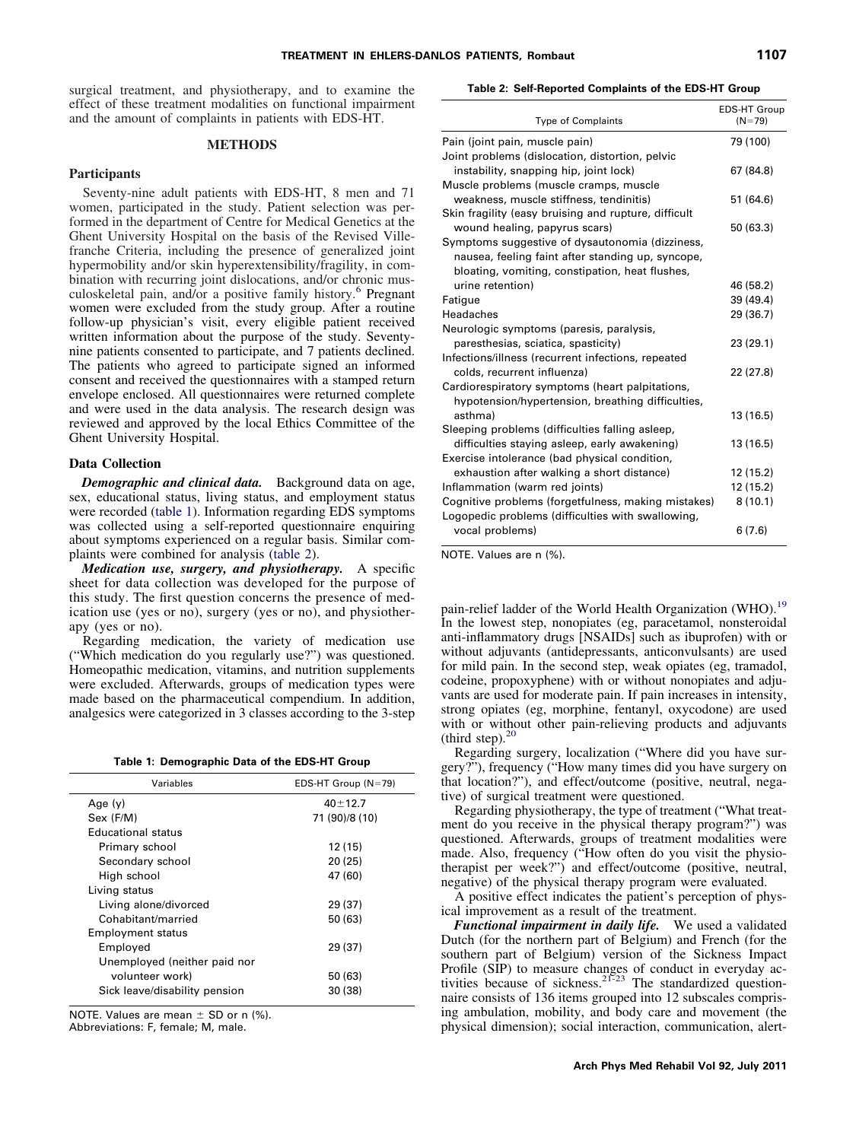surgical treatment, and physiotherapy, and to examine the effect of these treatment modalities on functional impairment and the amount of complaints in patients with EDS-HT.

# **METHODS**

#### **Participants**

Seventy-nine adult patients with EDS-HT, 8 men and 71 women, participated in the study. Patient selection was performed in the department of Centre for Medical Genetics at the Ghent University Hospital on the basis of the Revised Villefranche Criteria, including the presence of generalized joint hypermobility and/or skin hyperextensibility/fragility, in combination with recurring joint dislocations, and/or chronic musculoskeletal pain, and/or a positive family history.[6](#page-5-3) Pregnant women were excluded from the study group. After a routine follow-up physician's visit, every eligible patient received written information about the purpose of the study. Seventynine patients consented to participate, and 7 patients declined. The patients who agreed to participate signed an informed consent and received the questionnaires with a stamped return envelope enclosed. All questionnaires were returned complete and were used in the data analysis. The research design was reviewed and approved by the local Ethics Committee of the Ghent University Hospital.

#### **Data Collection**

*Demographic and clinical data.* Background data on age, sex, educational status, living status, and employment status were recorded [\(table 1\)](#page-1-0). Information regarding EDS symptoms was collected using a self-reported questionnaire enquiring about symptoms experienced on a regular basis. Similar complaints were combined for analysis [\(table 2\)](#page-1-1).

*Medication use, surgery, and physiotherapy.* A specific sheet for data collection was developed for the purpose of this study. The first question concerns the presence of medication use (yes or no), surgery (yes or no), and physiotherapy (yes or no).

Regarding medication, the variety of medication use ("Which medication do you regularly use?") was questioned. Homeopathic medication, vitamins, and nutrition supplements were excluded. Afterwards, groups of medication types were made based on the pharmaceutical compendium. In addition, analgesics were categorized in 3 classes according to the 3-step

<span id="page-1-0"></span>

| Variables                     | EDS-HT Group $(N=79)$ |
|-------------------------------|-----------------------|
| Age $(v)$                     | $40 + 12.7$           |
| Sex (F/M)                     | 71 (90)/8 (10)        |
| <b>Educational status</b>     |                       |
| Primary school                | 12 (15)               |
| Secondary school              | 20(25)                |
| High school                   | 47 (60)               |
| Living status                 |                       |
| Living alone/divorced         | 29 (37)               |
| Cohabitant/married            | 50 (63)               |
| <b>Employment status</b>      |                       |
| Employed                      | 29 (37)               |
| Unemployed (neither paid nor  |                       |
| volunteer work)               | 50 (63)               |
| Sick leave/disability pension | 30 (38)               |

NOTE. Values are mean  $\pm$  SD or n (%). Abbreviations: F, female; M, male.

<span id="page-1-1"></span>

| Table 2: Self-Reported Complaints of the EDS-HT Group |  |  |  |  |  |  |  |  |
|-------------------------------------------------------|--|--|--|--|--|--|--|--|
|-------------------------------------------------------|--|--|--|--|--|--|--|--|

| <b>Type of Complaints</b>                            | <b>EDS-HT Group</b><br>$(N=79)$ |
|------------------------------------------------------|---------------------------------|
| Pain (joint pain, muscle pain)                       | 79 (100)                        |
| Joint problems (dislocation, distortion, pelvic      |                                 |
| instability, snapping hip, joint lock)               | 67 (84.8)                       |
| Muscle problems (muscle cramps, muscle               |                                 |
| weakness, muscle stiffness, tendinitis)              | 51 (64.6)                       |
| Skin fragility (easy bruising and rupture, difficult |                                 |
| wound healing, papyrus scars)                        | 50 (63.3)                       |
| Symptoms suggestive of dysautonomia (dizziness,      |                                 |
| nausea, feeling faint after standing up, syncope,    |                                 |
| bloating, vomiting, constipation, heat flushes,      |                                 |
| urine retention)                                     | 46 (58.2)                       |
| Fatigue                                              | 39 (49.4)                       |
| Headaches                                            | 29 (36.7)                       |
| Neurologic symptoms (paresis, paralysis,             |                                 |
| paresthesias, sciatica, spasticity)                  | 23 (29.1)                       |
| Infections/illness (recurrent infections, repeated   |                                 |
| colds, recurrent influenza)                          | 22 (27.8)                       |
| Cardiorespiratory symptoms (heart palpitations,      |                                 |
| hypotension/hypertension, breathing difficulties,    |                                 |
| asthma)                                              | 13 (16.5)                       |
| Sleeping problems (difficulties falling asleep,      |                                 |
| difficulties staying asleep, early awakening)        | 13 (16.5)                       |
| Exercise intolerance (bad physical condition,        |                                 |
| exhaustion after walking a short distance)           | 12 (15.2)                       |
| Inflammation (warm red joints)                       | 12 (15.2)                       |
| Cognitive problems (forgetfulness, making mistakes)  | 8(10.1)                         |
| Logopedic problems (difficulties with swallowing,    |                                 |
| vocal problems)                                      | 6(7.6)                          |

NOTE. Values are n (%).

pain-relief ladder of the World Health Organization (WHO).<sup>[19](#page-5-9)</sup> In the lowest step, nonopiates (eg, paracetamol, nonsteroidal anti-inflammatory drugs [NSAIDs] such as ibuprofen) with or without adjuvants (antidepressants, anticonvulsants) are used for mild pain. In the second step, weak opiates (eg, tramadol, codeine, propoxyphene) with or without nonopiates and adjuvants are used for moderate pain. If pain increases in intensity, strong opiates (eg, morphine, fentanyl, oxycodone) are used with or without other pain-relieving products and adjuvants (third step). $20$ 

Regarding surgery, localization ("Where did you have surgery?"), frequency ("How many times did you have surgery on that location?"), and effect/outcome (positive, neutral, negative) of surgical treatment were questioned.

Regarding physiotherapy, the type of treatment ("What treatment do you receive in the physical therapy program?") was questioned. Afterwards, groups of treatment modalities were made. Also, frequency ("How often do you visit the physiotherapist per week?") and effect/outcome (positive, neutral, negative) of the physical therapy program were evaluated.

A positive effect indicates the patient's perception of physical improvement as a result of the treatment.

*Functional impairment in daily life.* We used a validated Dutch (for the northern part of Belgium) and French (for the southern part of Belgium) version of the Sickness Impact Profile (SIP) to measure changes of conduct in everyday activities because of sickness.<sup>[21-23](#page-5-11)</sup> The standardized questionnaire consists of 136 items grouped into 12 subscales comprising ambulation, mobility, and body care and movement (the physical dimension); social interaction, communication, alert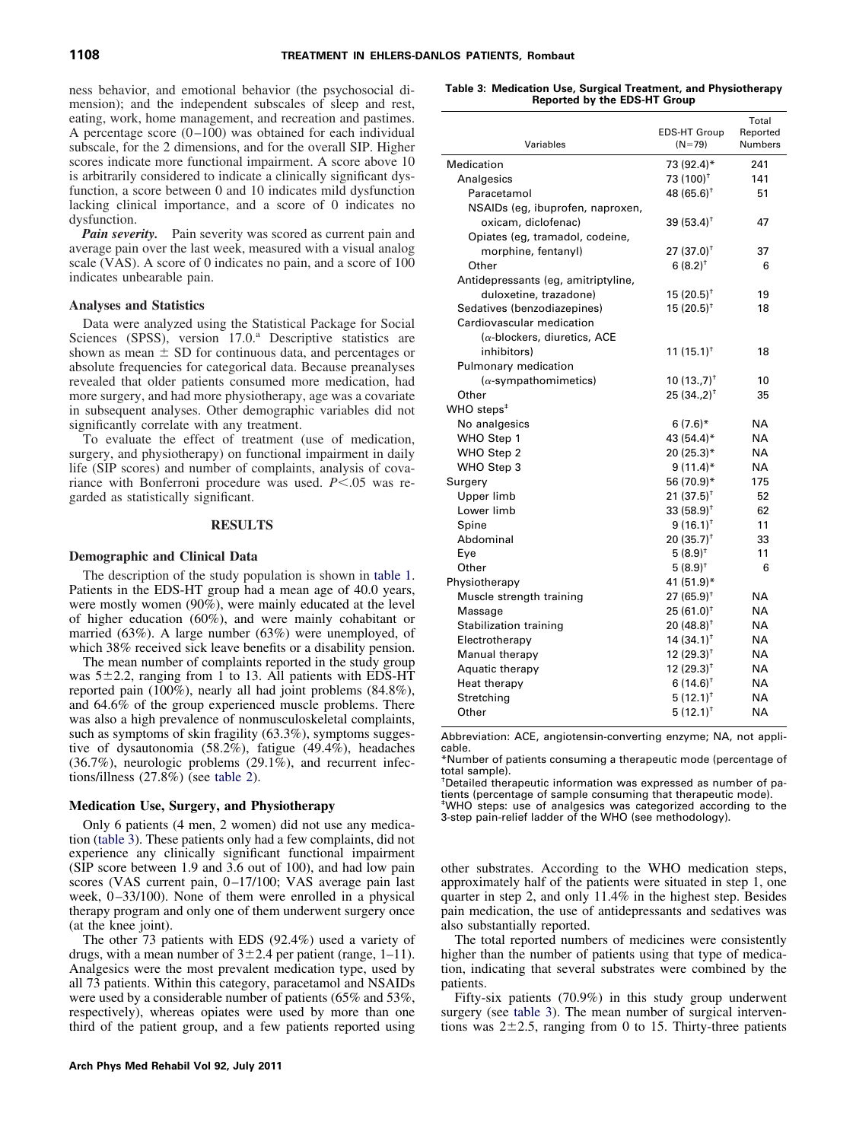ness behavior, and emotional behavior (the psychosocial dimension); and the independent subscales of sleep and rest, eating, work, home management, and recreation and pastimes. A percentage score  $(0-100)$  was obtained for each individual subscale, for the 2 dimensions, and for the overall SIP. Higher scores indicate more functional impairment. A score above 10 is arbitrarily considered to indicate a clinically significant dysfunction, a score between 0 and 10 indicates mild dysfunction lacking clinical importance, and a score of 0 indicates no dysfunction.

*Pain severity.* Pain severity was scored as current pain and average pain over the last week, measured with a visual analog scale (VAS). A score of 0 indicates no pain, and a score of 100 indicates unbearable pain.

#### **Analyses and Statistics**

Data were analyzed using the Statistical Package for Social Sciences (SPSS), version 17.0.<sup>a</sup> Descriptive statistics are shown as mean  $\pm$  SD for continuous data, and percentages or absolute frequencies for categorical data. Because preanalyses revealed that older patients consumed more medication, had more surgery, and had more physiotherapy, age was a covariate in subsequent analyses. Other demographic variables did not significantly correlate with any treatment.

To evaluate the effect of treatment (use of medication, surgery, and physiotherapy) on functional impairment in daily life (SIP scores) and number of complaints, analysis of covariance with Bonferroni procedure was used. *P*<.05 was regarded as statistically significant.

# **RESULTS**

# **Demographic and Clinical Data**

The description of the study population is shown in [table 1.](#page-1-0) Patients in the EDS-HT group had a mean age of 40.0 years, were mostly women (90%), were mainly educated at the level of higher education (60%), and were mainly cohabitant or married (63%). A large number (63%) were unemployed, of which 38% received sick leave benefits or a disability pension.

The mean number of complaints reported in the study group was  $5\pm 2.2$ , ranging from 1 to 13. All patients with EDS-HT reported pain (100%), nearly all had joint problems (84.8%), and 64.6% of the group experienced muscle problems. There was also a high prevalence of nonmusculoskeletal complaints, such as symptoms of skin fragility (63.3%), symptoms suggestive of dysautonomia (58.2%), fatigue (49.4%), headaches (36.7%), neurologic problems (29.1%), and recurrent infections/illness (27.8%) (see [table 2\)](#page-1-1).

# **Medication Use, Surgery, and Physiotherapy**

Only 6 patients (4 men, 2 women) did not use any medication [\(table 3\)](#page-2-0). These patients only had a few complaints, did not experience any clinically significant functional impairment (SIP score between 1.9 and 3.6 out of 100), and had low pain scores (VAS current pain, 0-17/100; VAS average pain last week, 0-33/100). None of them were enrolled in a physical therapy program and only one of them underwent surgery once (at the knee joint).

The other 73 patients with EDS (92.4%) used a variety of drugs, with a mean number of  $3\pm 2.4$  per patient (range, 1–11). Analgesics were the most prevalent medication type, used by all 73 patients. Within this category, paracetamol and NSAIDs were used by a considerable number of patients (65% and 53%, respectively), whereas opiates were used by more than one third of the patient group, and a few patients reported using

<span id="page-2-0"></span>

| Table 3: Medication Use, Surgical Treatment, and Physiotherapy |                              |  |
|----------------------------------------------------------------|------------------------------|--|
|                                                                | Reported by the EDS-HT Group |  |

| Variables                           | EDS-HT Group<br>$(N = 79)$ | Total<br>Reported<br>Numbers |
|-------------------------------------|----------------------------|------------------------------|
| Medication                          | 73 (92.4)*                 | 241                          |
| Analgesics                          | 73 (100) <sup>+</sup>      | 141                          |
| Paracetamol                         | 48 (65.6) <sup>+</sup>     | 51                           |
| NSAIDs (eg, ibuprofen, naproxen,    |                            |                              |
| oxicam, diclofenac)                 | 39 $(53.4)$ <sup>+</sup>   | 47                           |
| Opiates (eg, tramadol, codeine,     |                            |                              |
| morphine, fentanyl)                 | $27(37.0)^+$               | 37                           |
| Other                               | $6(8.2)^+$                 | 6                            |
| Antidepressants (eg, amitriptyline, |                            |                              |
| duloxetine, trazadone)              | $15(20.5)^+$               | 19                           |
| Sedatives (benzodiazepines)         | $15(20.5)^+$               | 18                           |
| Cardiovascular medication           |                            |                              |
| $(\alpha$ -blockers, diuretics, ACE |                            |                              |
| inhibitors)                         | $11(15.1)^+$               | 18                           |
| Pulmonary medication                |                            |                              |
| $(\alpha$ -sympathomimetics)        | $10(13.,7)^+$              | 10                           |
| Other                               | $25(34.2)^+$               | 35                           |
| WHO steps <sup>#</sup>              |                            |                              |
| No analgesics                       | $6(7.6)$ *                 | ΝA                           |
| WHO Step 1                          | 43 (54.4)*                 | NA.                          |
| WHO Step 2                          | $20(25.3)*$                | ΝA                           |
| WHO Step 3                          | $9(11.4)$ *                | <b>NA</b>                    |
| Surgery                             | 56 (70.9)*                 | 175                          |
| Upper limb                          | $21(37.5)^+$               | 52                           |
| Lower limb                          | $33(58.9)^+$               | 62                           |
| Spine                               | $9(16.1)^+$                | 11                           |
| Abdominal                           | $20(35.7)^+$               | 33                           |
| Eye                                 | $5(8.9)^+$                 | 11                           |
| Other                               | $5(8.9)^+$                 | 6                            |
| Physiotherapy                       | 41 (51.9)*                 |                              |
| Muscle strength training            | $27(65.9)^+$               | NA                           |
| Massage                             | $25(61.0)^+$               | <b>NA</b>                    |
| Stabilization training              | $20(48.8)^+$               | NA.                          |
| Electrotherapy                      | $14(34.1)^+$               | <b>NA</b>                    |
| Manual therapy                      | $12(29.3)^+$               | <b>NA</b>                    |
| Aquatic therapy                     | $12(29.3)^{+}$             | ΝA                           |
| Heat therapy                        | $6(14.6)^+$                | NA.                          |
| Stretching                          | $5(12.1)^+$                | ΝA                           |
| Other                               | $5(12.1)^+$                | <b>NA</b>                    |

Abbreviation: ACE, angiotensin-converting enzyme; NA, not applicable.

\*Number of patients consuming a therapeutic mode (percentage of total sample).

† Detailed therapeutic information was expressed as number of patients (percentage of sample consuming that therapeutic mode). ‡ WHO steps: use of analgesics was categorized according to the 3-step pain-relief ladder of the WHO (see methodology).

other substrates. According to the WHO medication steps, approximately half of the patients were situated in step 1, one quarter in step 2, and only 11.4% in the highest step. Besides pain medication, the use of antidepressants and sedatives was also substantially reported.

The total reported numbers of medicines were consistently higher than the number of patients using that type of medication, indicating that several substrates were combined by the patients.

Fifty-six patients (70.9%) in this study group underwent surgery (see [table 3\)](#page-2-0). The mean number of surgical interventions was  $2\pm 2.5$ , ranging from 0 to 15. Thirty-three patients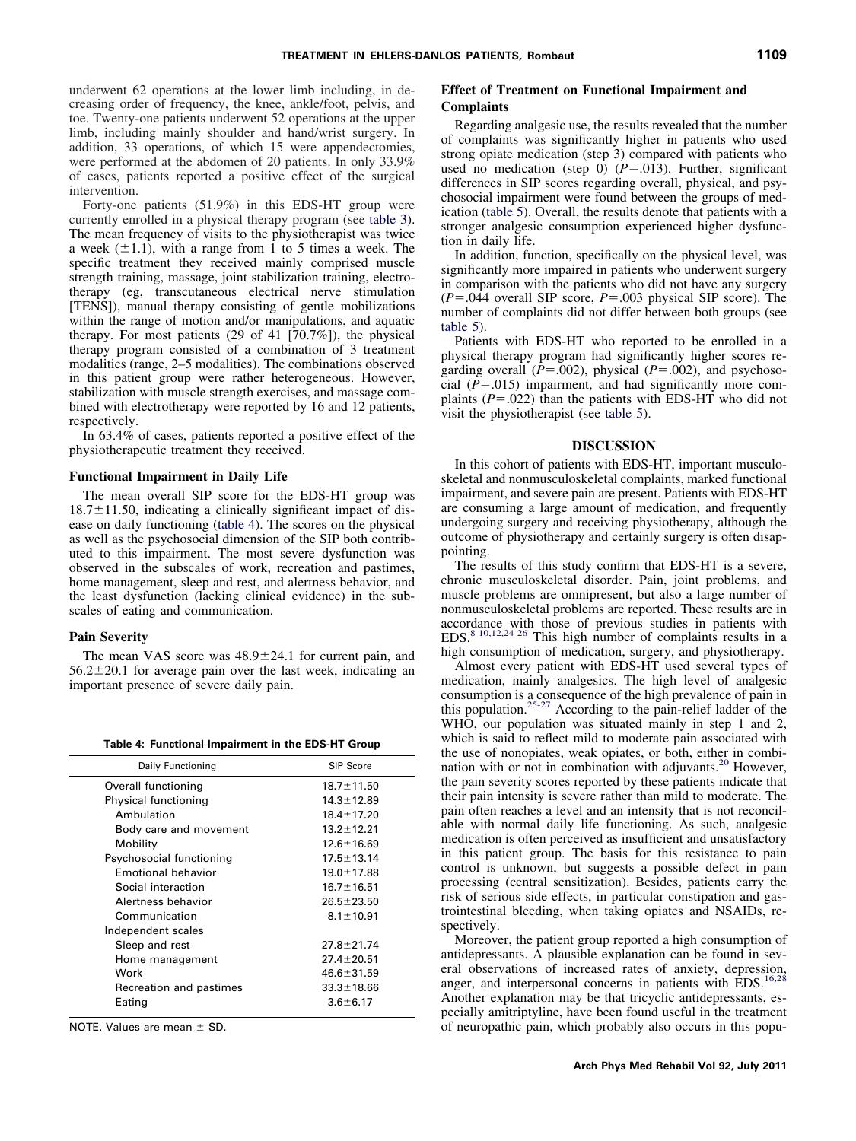underwent 62 operations at the lower limb including, in decreasing order of frequency, the knee, ankle/foot, pelvis, and toe. Twenty-one patients underwent 52 operations at the upper limb, including mainly shoulder and hand/wrist surgery. In addition, 33 operations, of which 15 were appendectomies, were performed at the abdomen of 20 patients. In only 33.9% of cases, patients reported a positive effect of the surgical intervention.

Forty-one patients (51.9%) in this EDS-HT group were currently enrolled in a physical therapy program (see [table 3\)](#page-2-0). The mean frequency of visits to the physiotherapist was twice a week  $(\pm 1.1)$ , with a range from 1 to 5 times a week. The specific treatment they received mainly comprised muscle strength training, massage, joint stabilization training, electrotherapy (eg, transcutaneous electrical nerve stimulation [TENS]), manual therapy consisting of gentle mobilizations within the range of motion and/or manipulations, and aquatic therapy. For most patients (29 of 41 [70.7%]), the physical therapy program consisted of a combination of 3 treatment modalities (range, 2–5 modalities). The combinations observed in this patient group were rather heterogeneous. However, stabilization with muscle strength exercises, and massage combined with electrotherapy were reported by 16 and 12 patients, respectively.

In 63.4% of cases, patients reported a positive effect of the physiotherapeutic treatment they received.

# **Functional Impairment in Daily Life**

The mean overall SIP score for the EDS-HT group was  $18.7 \pm 11.50$ , indicating a clinically significant impact of disease on daily functioning [\(table 4\)](#page-3-0). The scores on the physical as well as the psychosocial dimension of the SIP both contributed to this impairment. The most severe dysfunction was observed in the subscales of work, recreation and pastimes, home management, sleep and rest, and alertness behavior, and the least dysfunction (lacking clinical evidence) in the subscales of eating and communication.

#### **Pain Severity**

The mean VAS score was  $48.9 \pm 24.1$  for current pain, and  $56.2 \pm 20.1$  for average pain over the last week, indicating an important presence of severe daily pain.

<span id="page-3-0"></span>**Table 4: Functional Impairment in the EDS-HT Group**

| Daily Functioning        | SIP Score        |
|--------------------------|------------------|
| Overall functioning      | $18.7 \pm 11.50$ |
| Physical functioning     | $14.3 \pm 12.89$ |
| Ambulation               | $18.4 + 17.20$   |
| Body care and movement   | $13.2 \pm 12.21$ |
| Mobility                 | $12.6 + 16.69$   |
| Psychosocial functioning | $17.5 \pm 13.14$ |
| Emotional behavior       | $19.0 \pm 17.88$ |
| Social interaction       | $16.7 \pm 16.51$ |
| Alertness behavior       | $26.5 \pm 23.50$ |
| Communication            | $8.1 \pm 10.91$  |
| Independent scales       |                  |
| Sleep and rest           | $27.8 \pm 21.74$ |
| Home management          | $27.4 \pm 20.51$ |
| Work                     | $46.6 \pm 31.59$ |
| Recreation and pastimes  | $33.3 \pm 18.66$ |
| Eating                   | $3.6 \pm 6.17$   |

NOTE. Values are mean  $\pm$  SD.

# **Effect of Treatment on Functional Impairment and Complaints**

Regarding analgesic use, the results revealed that the number of complaints was significantly higher in patients who used strong opiate medication (step 3) compared with patients who used no medication (step  $\hat{0}$ ) ( $P = .013$ ). Further, significant differences in SIP scores regarding overall, physical, and psychosocial impairment were found between the groups of medication [\(table 5\)](#page-4-0). Overall, the results denote that patients with a stronger analgesic consumption experienced higher dysfunction in daily life.

In addition, function, specifically on the physical level, was significantly more impaired in patients who underwent surgery in comparison with the patients who did not have any surgery  $(P = .044$  overall SIP score,  $P = .003$  physical SIP score). The number of complaints did not differ between both groups (see [table 5\)](#page-4-0).

Patients with EDS-HT who reported to be enrolled in a physical therapy program had significantly higher scores regarding overall  $(P=.002)$ , physical  $(P=.002)$ , and psychosocial  $(P=.015)$  impairment, and had significantly more complaints  $(P=.022)$  than the patients with EDS-HT who did not visit the physiotherapist (see [table 5\)](#page-4-0).

#### **DISCUSSION**

In this cohort of patients with EDS-HT, important musculoskeletal and nonmusculoskeletal complaints, marked functional impairment, and severe pain are present. Patients with EDS-HT are consuming a large amount of medication, and frequently undergoing surgery and receiving physiotherapy, although the outcome of physiotherapy and certainly surgery is often disappointing.

The results of this study confirm that EDS-HT is a severe, chronic musculoskeletal disorder. Pain, joint problems, and muscle problems are omnipresent, but also a large number of nonmusculoskeletal problems are reported. These results are in accordance with those of previous studies in patients with EDS.<sup>8-10,12,24-26</sup> This high number of complaints results in a high consumption of medication, surgery, and physiotherapy.

Almost every patient with EDS-HT used several types of medication, mainly analgesics. The high level of analgesic consumption is a consequence of the high prevalence of pain in this population.[25-27](#page-5-13) According to the pain-relief ladder of the WHO, our population was situated mainly in step 1 and 2, which is said to reflect mild to moderate pain associated with the use of nonopiates, weak opiates, or both, either in combination with or not in combination with adjuvants.[20](#page-5-10) However, the pain severity scores reported by these patients indicate that their pain intensity is severe rather than mild to moderate. The pain often reaches a level and an intensity that is not reconcilable with normal daily life functioning. As such, analgesic medication is often perceived as insufficient and unsatisfactory in this patient group. The basis for this resistance to pain control is unknown, but suggests a possible defect in pain processing (central sensitization). Besides, patients carry the risk of serious side effects, in particular constipation and gastrointestinal bleeding, when taking opiates and NSAIDs, respectively.

Moreover, the patient group reported a high consumption of antidepressants. A plausible explanation can be found in several observations of increased rates of anxiety, depression, anger, and interpersonal concerns in patients with EDS.<sup>[16,28](#page-5-14)</sup> Another explanation may be that tricyclic antidepressants, especially amitriptyline, have been found useful in the treatment of neuropathic pain, which probably also occurs in this popu-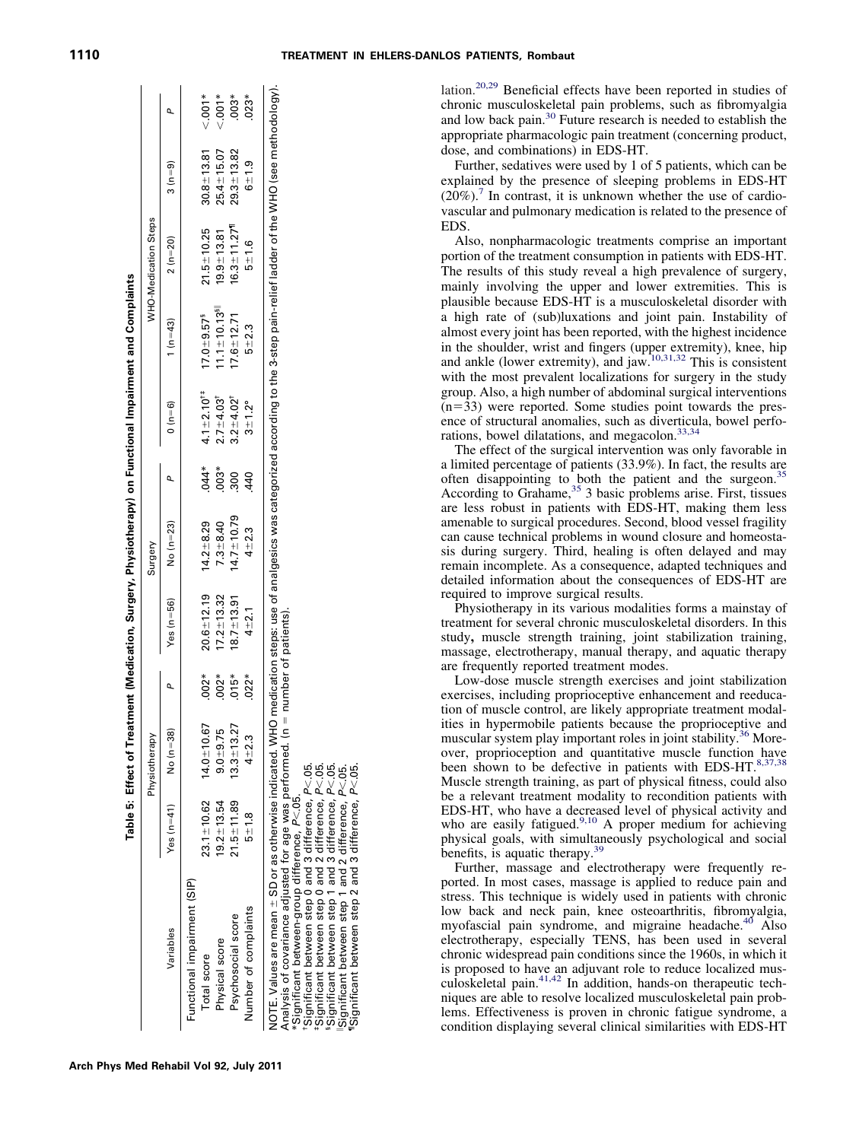lation.[20,29](#page-5-10) Beneficial effects have been reported in studies of chronic musculoskeletal pain problems, such as fibromyalgia and low back pain.[30](#page-6-0) Future research is needed to establish the appropriate pharmacologic pain treatment (concerning product, dose, and combinations) in EDS-HT.

Further, sedatives were used by 1 of 5 patients, which can be explained by the presence of sleeping problems in EDS-HT  $(20\%)$ .<sup>[7](#page-5-4)</sup> In contrast, it is unknown whether the use of cardiovascular and pulmonary medication is related to the presence of EDS.

Also, nonpharmacologic treatments comprise an important portion of the treatment consumption in patients with EDS-HT. The results of this study reveal a high prevalence of surgery, mainly involving the upper and lower extremities. This is plausible because EDS-HT is a musculoskeletal disorder with a high rate of (sub)luxations and joint pain. Instability of almost every joint has been reported, with the highest incidence in the shoulder, wrist and fingers (upper extremity), knee, hip and ankle (lower extremity), and jaw.[10,31,32](#page-5-15) This is consistent with the most prevalent localizations for surgery in the study group. Also, a high number of abdominal surgical interventions  $(n=33)$  were reported. Some studies point towards the presence of structural anomalies, such as diverticula, bowel perforations, bowel dilatations, and megacolon.<sup>33,34</sup>

The effect of the surgical intervention was only favorable in a limited percentage of patients (33.9%). In fact, the results are often disappointing to both the patient and the surgeon.<sup>35</sup> According to Grahame,  $35$  3 basic problems arise. First, tissues are less robust in patients with EDS-HT, making them less amenable to surgical procedures. Second, blood vessel fragility can cause technical problems in wound closure and homeostasis during surgery. Third, healing is often delayed and may remain incomplete. As a consequence, adapted techniques and detailed information about the consequences of EDS-HT are required to improve surgical results.

Physiotherapy in its various modalities forms a mainstay of treatment for several chronic musculoskeletal disorders. In this study**,** muscle strength training, joint stabilization training, massage, electrotherapy, manual therapy, and aquatic therapy are frequently reported treatment modes.

Low-dose muscle strength exercises and joint stabilization exercises, including proprioceptive enhancement and reeducation of muscle control, are likely appropriate treatment modalities in hypermobile patients because the proprioceptive and muscular system play important roles in joint stability.[36](#page-6-3) Moreover, proprioception and quantitative muscle function have been shown to be defective in patients with EDS-HT.<sup>[8,37,38](#page-5-12)</sup> Muscle strength training, as part of physical fitness, could also be a relevant treatment modality to recondition patients with EDS-HT, who have a decreased level of physical activity and who are easily fatigued. $9,10$  A proper medium for achieving physical goals, with simultaneously psychological and social benefits, is aquatic therapy. $39$ 

Further, massage and electrotherapy were frequently reported. In most cases, massage is applied to reduce pain and stress. This technique is widely used in patients with chronic low back and neck pain, knee osteoarthritis, fibromyalgia, myofascial pain syndrome, and migraine headache.<sup>[40](#page-6-5)</sup> Also electrotherapy, especially TENS, has been used in several chronic widespread pain conditions since the 1960s, in which it is proposed to have an adjuvant role to reduce localized musculoskeletal pain.[41,42](#page-6-6) In addition, hands-on therapeutic techniques are able to resolve localized musculoskeletal pain problems. Effectiveness is proven in chronic fatigue syndrome, a condition displaying several clinical similarities with EDS-HT

|                 |              | $(n=9)$                |
|-----------------|--------------|------------------------|
|                 | J            | $(n=20)$               |
|                 |              | $n = 4$                |
|                 |              | n=h                    |
|                 |              |                        |
| j               | urger        | $(n=23)$               |
|                 |              | $\frac{1}{2}$<br>es In |
| ì               |              |                        |
| Table 5: Effect | ă<br>hysioth | ï<br>S                 |
|                 |              | Yes $(n=41)$           |
|                 |              |                        |

| $\frac{1}{2}$ 001*               | $.003*$                        | $.023*$              |                                                                                                                                                                                                                                                                                                                                                                                                                                                                                                                                                                                                                       |
|----------------------------------|--------------------------------|----------------------|-----------------------------------------------------------------------------------------------------------------------------------------------------------------------------------------------------------------------------------------------------------------------------------------------------------------------------------------------------------------------------------------------------------------------------------------------------------------------------------------------------------------------------------------------------------------------------------------------------------------------|
| $25.4 \pm 15.07$                 | $29.3 + 13.82$                 | $6 + 1.9$            |                                                                                                                                                                                                                                                                                                                                                                                                                                                                                                                                                                                                                       |
| $19.9 + 13.81$                   | $16.3 \pm 11.27$ <sup>11</sup> | $5 + 1.6$            |                                                                                                                                                                                                                                                                                                                                                                                                                                                                                                                                                                                                                       |
| $11.1 \pm 10.13$ <sup>\$  </sup> | $17.6 + 12.71$                 | $5 + 2.3$            |                                                                                                                                                                                                                                                                                                                                                                                                                                                                                                                                                                                                                       |
| $2.7 + 4.03$ <sup>+</sup>        | $3.2 + 4.02$ <sup>+</sup>      | $3 + 1.2^{\circ}$    |                                                                                                                                                                                                                                                                                                                                                                                                                                                                                                                                                                                                                       |
| $.003*$                          | $\frac{300}{2}$                | $\frac{4}{3}$        |                                                                                                                                                                                                                                                                                                                                                                                                                                                                                                                                                                                                                       |
| $7.3 + 8.40$                     | $14.7 \pm 10.79$               | $4 + 2.3$            |                                                                                                                                                                                                                                                                                                                                                                                                                                                                                                                                                                                                                       |
| $17.2 \pm 13.32$                 | $18.7 \pm 13.91$               | $4 - 2.1$            |                                                                                                                                                                                                                                                                                                                                                                                                                                                                                                                                                                                                                       |
| $.002*$                          | $.015*$                        | $.022*$              |                                                                                                                                                                                                                                                                                                                                                                                                                                                                                                                                                                                                                       |
| $9.0 + 9.75$                     | $13.3 \pm 13.27$               | $4 + 2.3$            |                                                                                                                                                                                                                                                                                                                                                                                                                                                                                                                                                                                                                       |
| $19.2 \pm 13.54$                 | $21.5 \pm 11.89$               | $5 + 1.8$            |                                                                                                                                                                                                                                                                                                                                                                                                                                                                                                                                                                                                                       |
| Physical score                   | Psychosocial score             | Number of complaints | IOTE. Values are mean ± SD or as otherwise indicated. WHO medication steps: use of analgesics was categorized according to the 3-step pain-relief ladder of the WHO (see methodology).<br>Analysis of covariance adjusted for age was performed. (n = number of patients).<br>"Significant between step 2 and 3 difference, $P$ <.05.<br>Significant between step 0 and 3 difference, P<.05.<br>Significant between step 0 and 2 difference, $P$ <.05.<br>Significant between step 1 and 3 difference, P<.05.<br>Significant between step 1 and 2 difference, P<.05.<br>*Significant between-group difference, P<.05. |

Variables

Variables

Functional impairment (SIP)

Functional impairment (SIP)

Total score  $23.1$   $\pm$ 

<span id="page-4-0"></span>Physical score Total score

 $10.62$   $14.0 -$ 

 $23.1 \pm 10.62$  $19.2 + 13.54$  $21.5 + 11.89$ 

 $14.0 + 10.67$  $13.3 + 13.27$  $9.0 + 9.75$ 

 $10.67$   $.002*$  20.6 $\pm$ 

 $rac{2}{3}$ <br> $rac{2}{3}$  $-5$ 

 $12.19$   $14.2 -$ 

 $20.6 \pm 12.19$ <br>17.2 $\pm$ 13.32  $18.7 + 13.91$ 

 $14.7 \pm 10.79$  $14.2 + 8.29$ 

8.29 .044\* 4.1-

 $044*$  $.003*$ 300

 $2.10^{++}$  17.0 $\pm$ 

 $4.1 + 2.10$ <sup>†</sup>  $2.7 - 4.03$  $3.2 - 4.02$ <sup>1</sup>

 $9.57^8$  21.5 $\pm$ 

 $11.1 \pm 10.13$ <sup>sll</sup>  $17.6 + 12.71$  $17.0 + 9.57$ <sup>\$</sup>

10.25 30.8-

 $16.3 \pm 11.27$  $21.5 + 10.25$  $19.9 + 13.81$ 

 $30.8 + 13.81$ 

 $0.001*$ 

 $\overline{a}$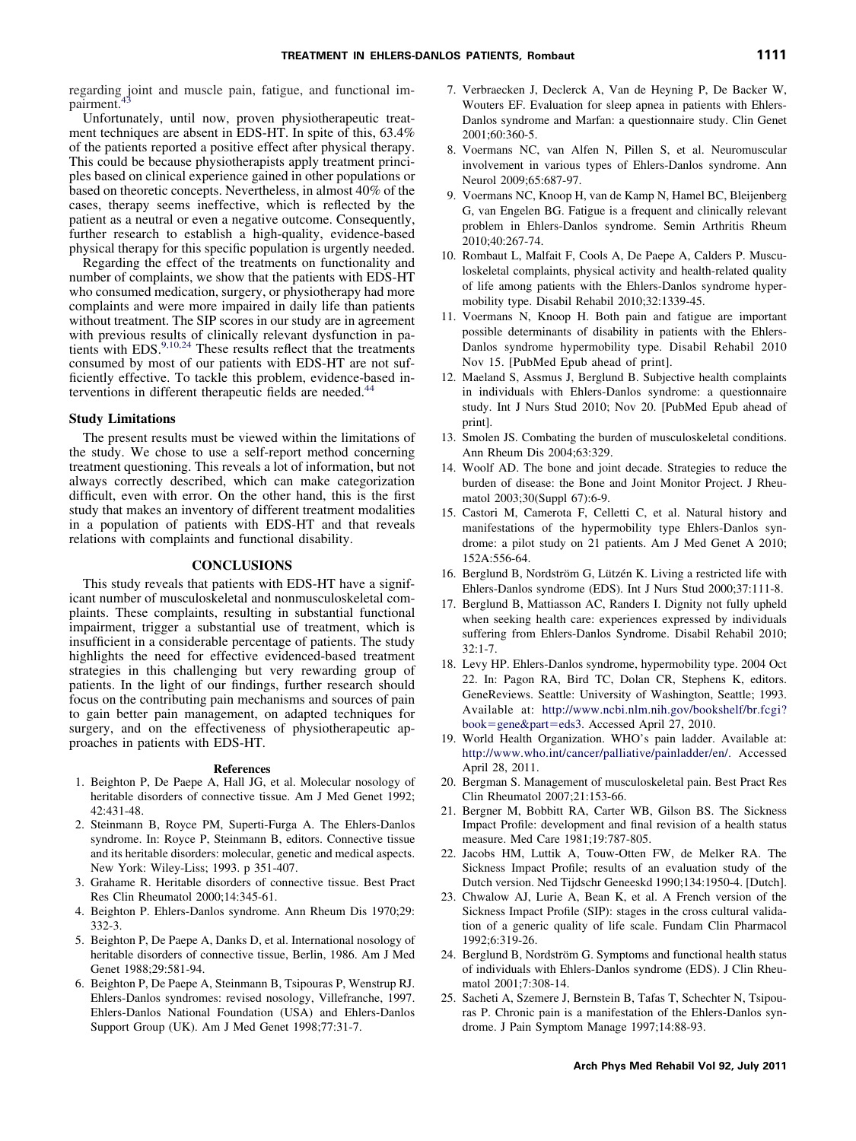regarding joint and muscle pain, fatigue, and functional impairment.

Unfortunately, until now, proven physiotherapeutic treatment techniques are absent in EDS-HT. In spite of this, 63.4% of the patients reported a positive effect after physical therapy. This could be because physiotherapists apply treatment principles based on clinical experience gained in other populations or based on theoretic concepts. Nevertheless, in almost 40% of the cases, therapy seems ineffective, which is reflected by the patient as a neutral or even a negative outcome. Consequently, further research to establish a high-quality, evidence-based physical therapy for this specific population is urgently needed.

Regarding the effect of the treatments on functionality and number of complaints, we show that the patients with EDS-HT who consumed medication, surgery, or physiotherapy had more complaints and were more impaired in daily life than patients without treatment. The SIP scores in our study are in agreement with previous results of clinically relevant dysfunction in pa-tients with EDS.<sup>[9,10,24](#page-5-16)</sup> These results reflect that the treatments consumed by most of our patients with EDS-HT are not sufficiently effective. To tackle this problem, evidence-based in-terventions in different therapeutic fields are needed.<sup>[44](#page-6-8)</sup>

#### **Study Limitations**

The present results must be viewed within the limitations of the study. We chose to use a self-report method concerning treatment questioning. This reveals a lot of information, but not always correctly described, which can make categorization difficult, even with error. On the other hand, this is the first study that makes an inventory of different treatment modalities in a population of patients with EDS-HT and that reveals relations with complaints and functional disability.

# **CONCLUSIONS**

This study reveals that patients with EDS-HT have a significant number of musculoskeletal and nonmusculoskeletal complaints. These complaints, resulting in substantial functional impairment, trigger a substantial use of treatment, which is insufficient in a considerable percentage of patients. The study highlights the need for effective evidenced-based treatment strategies in this challenging but very rewarding group of patients. In the light of our findings, further research should focus on the contributing pain mechanisms and sources of pain to gain better pain management, on adapted techniques for surgery, and on the effectiveness of physiotherapeutic approaches in patients with EDS-HT.

#### **References**

- <span id="page-5-0"></span>1. Beighton P, De Paepe A, Hall JG, et al. Molecular nosology of heritable disorders of connective tissue. Am J Med Genet 1992; 42:431-48.
- 2. Steinmann B, Royce PM, Superti-Furga A. The Ehlers-Danlos syndrome. In: Royce P, Steinmann B, editors. Connective tissue and its heritable disorders: molecular, genetic and medical aspects. New York: Wiley-Liss; 1993. p 351-407.
- <span id="page-5-1"></span>3. Grahame R. Heritable disorders of connective tissue. Best Pract Res Clin Rheumatol 2000;14:345-61.
- <span id="page-5-2"></span>4. Beighton P. Ehlers-Danlos syndrome. Ann Rheum Dis 1970;29: 332-3.
- 5. Beighton P, De Paepe A, Danks D, et al. International nosology of heritable disorders of connective tissue, Berlin, 1986. Am J Med Genet 1988;29:581-94.
- <span id="page-5-3"></span>6. Beighton P, De Paepe A, Steinmann B, Tsipouras P, Wenstrup RJ. Ehlers-Danlos syndromes: revised nosology, Villefranche, 1997. Ehlers-Danlos National Foundation (USA) and Ehlers-Danlos Support Group (UK). Am J Med Genet 1998;77:31-7.
- <span id="page-5-4"></span>7. Verbraecken J, Declerck A, Van de Heyning P, De Backer W, Wouters EF. Evaluation for sleep apnea in patients with Ehlers-Danlos syndrome and Marfan: a questionnaire study. Clin Genet 2001;60:360-5.
- <span id="page-5-12"></span>8. Voermans NC, van Alfen N, Pillen S, et al. Neuromuscular involvement in various types of Ehlers-Danlos syndrome. Ann Neurol 2009;65:687-97.
- <span id="page-5-16"></span>9. Voermans NC, Knoop H, van de Kamp N, Hamel BC, Bleijenberg G, van Engelen BG. Fatigue is a frequent and clinically relevant problem in Ehlers-Danlos syndrome. Semin Arthritis Rheum 2010;40:267-74.
- <span id="page-5-15"></span>10. Rombaut L, Malfait F, Cools A, De Paepe A, Calders P. Musculoskeletal complaints, physical activity and health-related quality of life among patients with the Ehlers-Danlos syndrome hypermobility type. Disabil Rehabil 2010;32:1339-45.
- 11. Voermans N, Knoop H. Both pain and fatigue are important possible determinants of disability in patients with the Ehlers-Danlos syndrome hypermobility type. Disabil Rehabil 2010 Nov 15. [PubMed Epub ahead of print].
- 12. Maeland S, Assmus J, Berglund B. Subjective health complaints in individuals with Ehlers-Danlos syndrome: a questionnaire study. Int J Nurs Stud 2010; Nov 20. [PubMed Epub ahead of print].
- <span id="page-5-6"></span><span id="page-5-5"></span>13. Smolen JS. Combating the burden of musculoskeletal conditions. Ann Rheum Dis 2004;63:329.
- 14. Woolf AD. The bone and joint decade. Strategies to reduce the burden of disease: the Bone and Joint Monitor Project. J Rheumatol 2003;30(Suppl 67):6-9.
- <span id="page-5-7"></span>15. Castori M, Camerota F, Celletti C, et al. Natural history and manifestations of the hypermobility type Ehlers-Danlos syndrome: a pilot study on 21 patients. Am J Med Genet A 2010; 152A:556-64.
- <span id="page-5-14"></span>16. Berglund B, Nordström G, Lützén K. Living a restricted life with Ehlers-Danlos syndrome (EDS). Int J Nurs Stud 2000;37:111-8.
- 17. Berglund B, Mattiasson AC, Randers I. Dignity not fully upheld when seeking health care: experiences expressed by individuals suffering from Ehlers-Danlos Syndrome. Disabil Rehabil 2010; 32:1-7.
- <span id="page-5-8"></span>18. Levy HP. Ehlers-Danlos syndrome, hypermobility type. 2004 Oct 22. In: Pagon RA, Bird TC, Dolan CR, Stephens K, editors. GeneReviews. Seattle: University of Washington, Seattle; 1993. Available at: [http://www.ncbi.nlm.nih.gov/bookshelf/br.fcgi?](http://www.ncbi.nlm.nih.gov/bookshelf/br.fcgi?book=gene%26part=eds3) book=[gene&part](http://www.ncbi.nlm.nih.gov/bookshelf/br.fcgi?book=gene%26part=eds3)=eds3. Accessed April 27, 2010.
- <span id="page-5-9"></span>19. World Health Organization. WHO's pain ladder. Available at: [http://www.who.int/cancer/palliative/painladder/en/.](http://www.who.int/cancer/palliative/painladder/en) Accessed April 28, 2011.
- <span id="page-5-11"></span><span id="page-5-10"></span>20. Bergman S. Management of musculoskeletal pain. Best Pract Res Clin Rheumatol 2007;21:153-66.
- 21. Bergner M, Bobbitt RA, Carter WB, Gilson BS. The Sickness Impact Profile: development and final revision of a health status measure. Med Care 1981;19:787-805.
- 22. Jacobs HM, Luttik A, Touw-Otten FW, de Melker RA. The Sickness Impact Profile; results of an evaluation study of the Dutch version. Ned Tijdschr Geneeskd 1990;134:1950-4. [Dutch].
- 23. Chwalow AJ, Lurie A, Bean K, et al. A French version of the Sickness Impact Profile (SIP): stages in the cross cultural validation of a generic quality of life scale. Fundam Clin Pharmacol 1992;6:319-26.
- 24. Berglund B, Nordström G. Symptoms and functional health status of individuals with Ehlers-Danlos syndrome (EDS). J Clin Rheumatol 2001;7:308-14.
- <span id="page-5-13"></span>25. Sacheti A, Szemere J, Bernstein B, Tafas T, Schechter N, Tsipouras P. Chronic pain is a manifestation of the Ehlers-Danlos syndrome. J Pain Symptom Manage 1997;14:88-93.